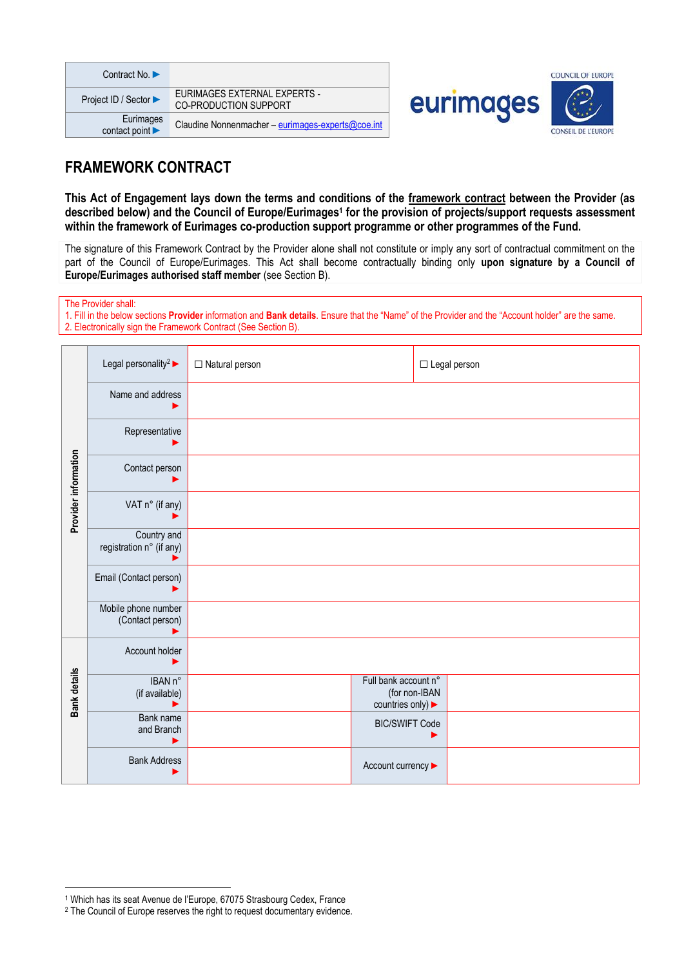| Contract No. $\blacktriangleright$ |                                                              |
|------------------------------------|--------------------------------------------------------------|
| Project ID / Sector ▶              | EURIMAGES EXTERNAL EXPERTS -<br><b>CO-PRODUCTION SUPPORT</b> |
| Eurimages<br>contact point         | Claudine Nonnenmacher - eurimages-experts@coe.int            |





# **FRAMEWORK CONTRACT**

**This Act of Engagement lays down the terms and conditions of the framework contract between the Provider (as described below) and the Council of Europe/Eurimages<sup>1</sup> for the provision of projects/support requests assessment within the framework of Eurimages co-production support programme or other programmes of the Fund.**

The signature of this Framework Contract by the Provider alone shall not constitute or imply any sort of contractual commitment on the part of the Council of Europe/Eurimages. This Act shall become contractually binding only **upon signature by a Council of Europe/Eurimages authorised staff member** (see Section B).

The Provider shall:

1. Fill in the below sections **Provider** information and **Bank details**. Ensure that the "Name" of the Provider and the "Account holder" are the same. 2. Electronically sign the Framework Contract (See Section B).

|                      | Legal personality <sup>2</sup>          | $\Box$ Natural person |                                                          | $\Box$ Legal person |
|----------------------|-----------------------------------------|-----------------------|----------------------------------------------------------|---------------------|
| Provider information | Name and address                        |                       |                                                          |                     |
|                      | Representative                          |                       |                                                          |                     |
|                      | Contact person                          |                       |                                                          |                     |
|                      | VAT n° (if any)                         |                       |                                                          |                     |
|                      | Country and<br>registration n° (if any) |                       |                                                          |                     |
|                      | Email (Contact person)                  |                       |                                                          |                     |
|                      | Mobile phone number<br>(Contact person) |                       |                                                          |                     |
| Bank details         | Account holder                          |                       |                                                          |                     |
|                      | IBAN n°<br>(if available)               |                       | Full bank account n°<br>(for non-IBAN<br>countries only) |                     |
|                      | Bank name<br>and Branch<br>▶            |                       | <b>BIC/SWIFT Code</b>                                    |                     |
|                      | <b>Bank Address</b>                     |                       | Account currency >                                       |                     |

<sup>1</sup> Which has its seat Avenue de l'Europe, 67075 Strasbourg Cedex, France

<sup>&</sup>lt;sup>2</sup> The Council of Europe reserves the right to request documentary evidence.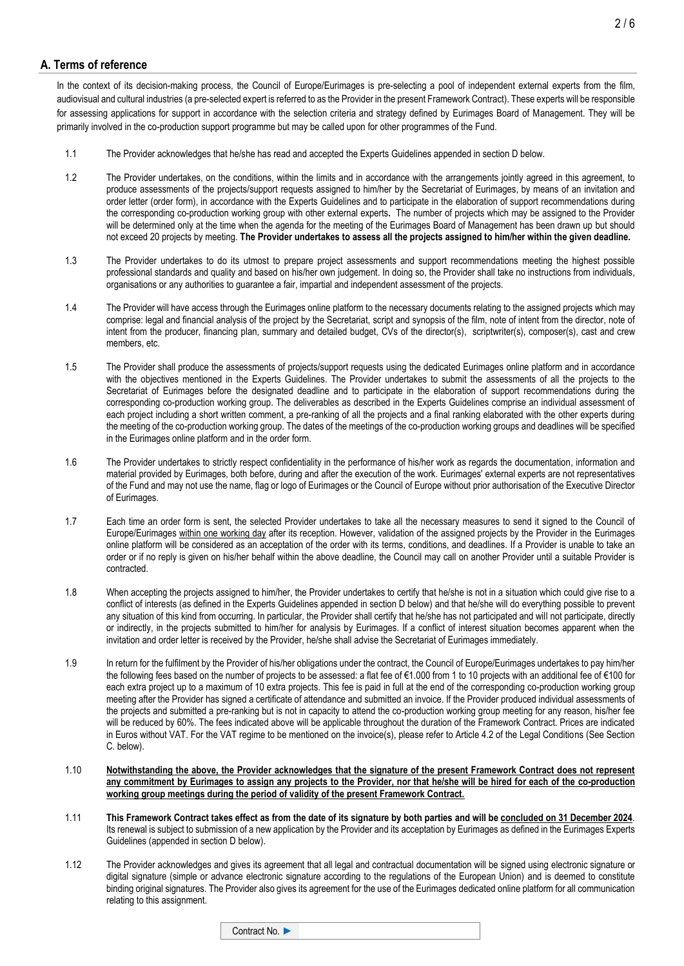# **A. Terms of reference**

In the context of its decision-making process, the Council of Europe/Eurimages is pre-selecting a pool of independent external experts from the film, audiovisual and cultural industries (a pre-selected expert is referred to as the Provider in the present Framework Contract). These experts will be responsible for assessing applications for support in accordance with the selection criteria and strategy defined by Eurimages Board of Management. They will be primarily involved in the co-production support programme but may be called upon for other programmes of the Fund.

- 1.1 The Provider acknowledges that he/she has read and accepted the Experts Guidelines appended in section D below.
- 1.2 The Provider undertakes, on the conditions, within the limits and in accordance with the arrangements jointly agreed in this agreement, to produce assessments of the projects/support requests assigned to him/her by the Secretariat of Eurimages, by means of an invitation and order letter (order form), in accordance with the Experts Guidelines and to participate in the elaboration of support recommendations during the corresponding co-production working group with other external experts**.** The number of projects which may be assigned to the Provider will be determined only at the time when the agenda for the meeting of the Eurimages Board of Management has been drawn up but should not exceed 20 projects by meeting. **The Provider undertakes to assess all the projects assigned to him/her within the given deadline.**
- 1.3 The Provider undertakes to do its utmost to prepare project assessments and support recommendations meeting the highest possible professional standards and quality and based on his/her own judgement. In doing so, the Provider shall take no instructions from individuals, organisations or any authorities to guarantee a fair, impartial and independent assessment of the projects.
- 1.4 The Provider will have access through the Eurimages online platform to the necessary documents relating to the assigned projects which may comprise: legal and financial analysis of the project by the Secretariat, script and synopsis of the film, note of intent from the director, note of intent from the producer, financing plan, summary and detailed budget, CVs of the director(s), scriptwriter(s), composer(s), cast and crew members, etc.
- 1.5 The Provider shall produce the assessments of projects/support requests using the dedicated Eurimages online platform and in accordance with the objectives mentioned in the Experts Guidelines. The Provider undertakes to submit the assessments of all the projects to the Secretariat of Eurimages before the designated deadline and to participate in the elaboration of support recommendations during the corresponding co-production working group. The deliverables as described in the Experts Guidelines comprise an individual assessment of each project including a short written comment, a pre-ranking of all the projects and a final ranking elaborated with the other experts during the meeting of the co-production working group. The dates of the meetings of the co-production working groups and deadlines will be specified in the Eurimages online platform and in the order form.
- 1.6 The Provider undertakes to strictly respect confidentiality in the performance of his/her work as regards the documentation, information and material provided by Eurimages, both before, during and after the execution of the work. Eurimages' external experts are not representatives of the Fund and may not use the name, flag or logo of Eurimages or the Council of Europe without prior authorisation of the Executive Director of Eurimages.
- 1.7 Each time an order form is sent, the selected Provider undertakes to take all the necessary measures to send it signed to the Council of Europe/Eurimages within one working day after its reception. However, validation of the assigned projects by the Provider in the Eurimages online platform will be considered as an acceptation of the order with its terms, conditions, and deadlines. If a Provider is unable to take an order or if no reply is given on his/her behalf within the above deadline, the Council may call on another Provider until a suitable Provider is contracted.
- 1.8 When accepting the projects assigned to him/her, the Provider undertakes to certify that he/she is not in a situation which could give rise to a conflict of interests (as defined in the Experts Guidelines appended in section D below) and that he/she will do everything possible to prevent any situation of this kind from occurring. In particular, the Provider shall certify that he/she has not participated and will not participate, directly or indirectly, in the projects submitted to him/her for analysis by Eurimages. If a conflict of interest situation becomes apparent when the invitation and order letter is received by the Provider, he/she shall advise the Secretariat of Eurimages immediately.
- 1.9 In return for the fulfilment by the Provider of his/her obligations under the contract, the Council of Europe/Eurimages undertakes to pay him/her the following fees based on the number of projects to be assessed: a flat fee of €1.000 from 1 to 10 projects with an additional fee of €100 for each extra project up to a maximum of 10 extra projects. This fee is paid in full at the end of the corresponding co-production working group meeting after the Provider has signed a certificate of attendance and submitted an invoice. If the Provider produced individual assessments of the projects and submitted a pre-ranking but is not in capacity to attend the co-production working group meeting for any reason, his/her fee will be reduced by 60%. The fees indicated above will be applicable throughout the duration of the Framework Contract. Prices are indicated in Euros without VAT. For the VAT regime to be mentioned on the invoice(s), please refer to Article 4.2 of the Legal Conditions (See Section C. below).
- 1.10 **Notwithstanding the above, the Provider acknowledges that the signature of the present Framework Contract does not represent any commitment by Eurimages to assign any projects to the Provider, nor that he/she will be hired for each of the co-production working group meetings during the period of validity of the present Framework Contract.**
- 1.11 **This Framework Contract takes effect as from the date of its signature by both parties and will be concluded on 31 December 2024**. Its renewal is subject to submission of a new application by the Provider and its acceptation by Eurimages as defined in the Eurimages Experts Guidelines (appended in section D below).
- 1.12 The Provider acknowledges and gives its agreement that all legal and contractual documentation will be signed using electronic signature or digital signature (simple or advance electronic signature according to the regulations of the European Union) and is deemed to constitute binding original signatures. The Provider also gives its agreement for the use of the Eurimages dedicated online platform for all communication relating to this assignment.

Contract No. ►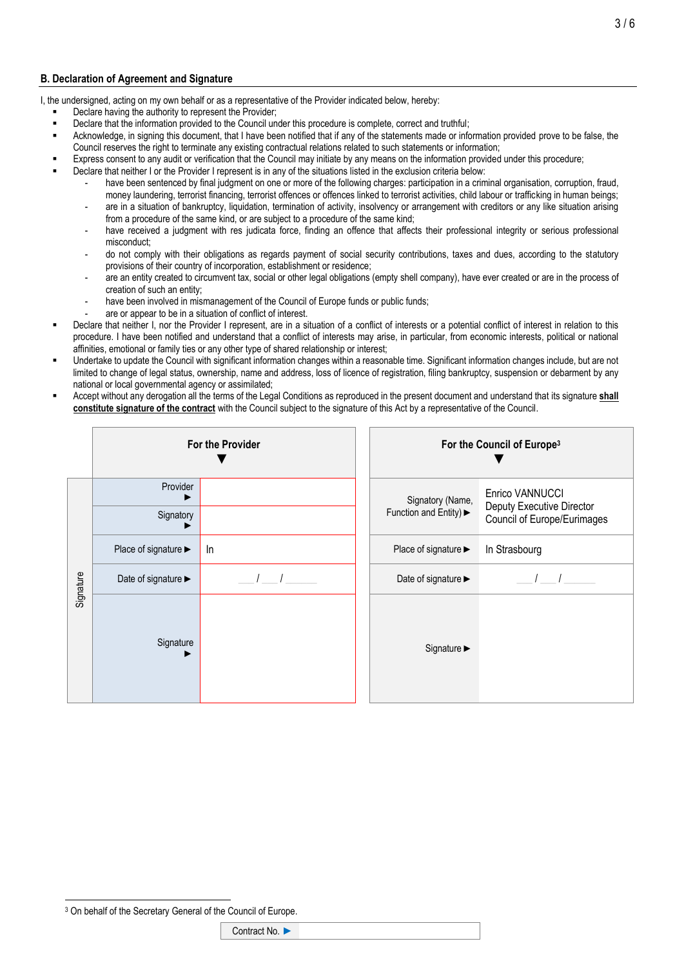# **B. Declaration of Agreement and Signature**

I, the undersigned, acting on my own behalf or as a representative of the Provider indicated below, hereby:

- Declare having the authority to represent the Provider;
- Declare that the information provided to the Council under this procedure is complete, correct and truthful;
- Acknowledge, in signing this document, that I have been notified that if any of the statements made or information provided prove to be false, the Council reserves the right to terminate any existing contractual relations related to such statements or information;
- Express consent to any audit or verification that the Council may initiate by any means on the information provided under this procedure;
- Declare that neither I or the Provider I represent is in any of the situations listed in the exclusion criteria below:
	- have been sentenced by final judgment on one or more of the following charges: participation in a criminal organisation, corruption, fraud, money laundering, terrorist financing, terrorist offences or offences linked to terrorist activities, child labour or trafficking in human beings; are in a situation of bankruptcy, liquidation, termination of activity, insolvency or arrangement with creditors or any like situation arising
		- from a procedure of the same kind, or are subject to a procedure of the same kind;
	- have received a judgment with res judicata force, finding an offence that affects their professional integrity or serious professional misconduct;
	- do not comply with their obligations as regards payment of social security contributions, taxes and dues, according to the statutory provisions of their country of incorporation, establishment or residence;
	- are an entity created to circumvent tax, social or other legal obligations (empty shell company), have ever created or are in the process of creation of such an entity;
	- have been involved in mismanagement of the Council of Europe funds or public funds;
	- are or appear to be in a situation of conflict of interest.
- Declare that neither I, nor the Provider I represent, are in a situation of a conflict of interests or a potential conflict of interest in relation to this procedure. I have been notified and understand that a conflict of interests may arise, in particular, from economic interests, political or national affinities, emotional or family ties or any other type of shared relationship or interest;
- Undertake to update the Council with significant information changes within a reasonable time. Significant information changes include, but are not limited to change of legal status, ownership, name and address, loss of licence of registration, filing bankruptcy, suspension or debarment by any national or local governmental agency or assimilated;
- Accept without any derogation all the terms of the Legal Conditions as reproduced in the present document and understand that its signature **shall constitute signature of the contract** with the Council subject to the signature of this Act by a representative of the Council.

|           | For the Provider     |    |  | For the Council of Europe <sup>3</sup> |                                                                             |  |
|-----------|----------------------|----|--|----------------------------------------|-----------------------------------------------------------------------------|--|
| Signature | Provider             |    |  | Signatory (Name,                       | Enrico VANNUCCI<br>Deputy Executive Director<br>Council of Europe/Eurimages |  |
|           | Signatory            |    |  | Function and Entity) ►                 |                                                                             |  |
|           | Place of signature ▶ | In |  | Place of signature ▶                   | In Strasbourg                                                               |  |
|           | Date of signature ►  |    |  | Date of signature >                    |                                                                             |  |
|           | Signature            |    |  | Signature >                            |                                                                             |  |

<sup>&</sup>lt;sup>3</sup> On behalf of the Secretary General of the Council of Europe.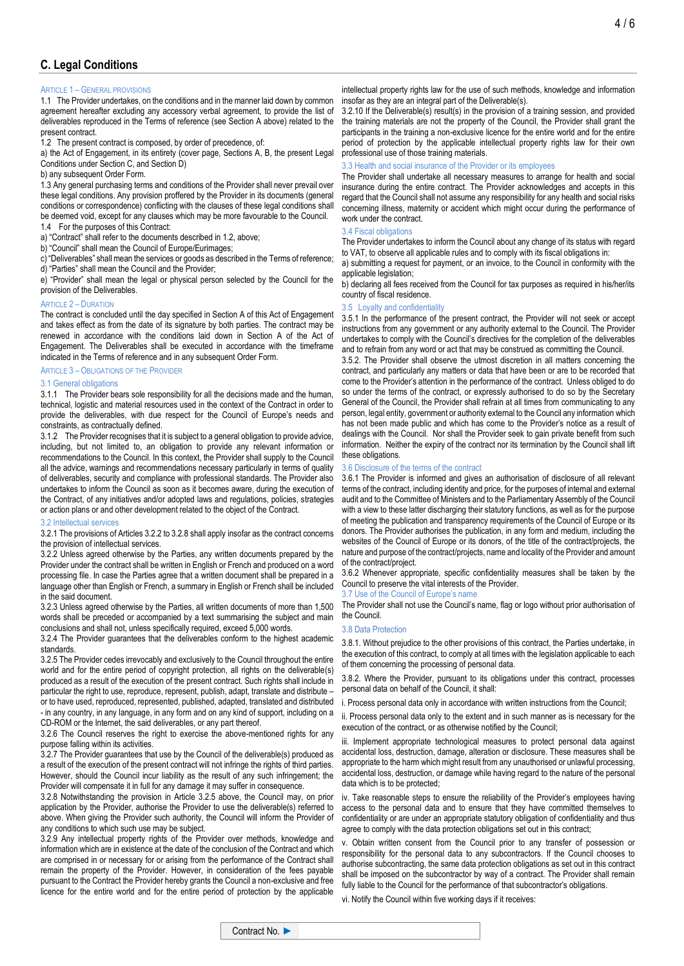#### ARTICLE 1 – GENERAL PROVISIONS

1.1 The Provider undertakes, on the conditions and in the manner laid down by common agreement hereafter excluding any accessory verbal agreement, to provide the list of deliverables reproduced in the Terms of reference (see Section A above) related to the present contract.

1.2 The present contract is composed, by order of precedence, of:

a) the Act of Engagement, in its entirety (cover page, Sections A, B, the present Legal Conditions under Section C, and Section D)

b) any subsequent Order Form.

1.3 Any general purchasing terms and conditions of the Provider shall never prevail over these legal conditions. Any provision proffered by the Provider in its documents (general conditions or correspondence) conflicting with the clauses of these legal conditions shall be deemed void, except for any clauses which may be more favourable to the Council.

1.4 For the purposes of this Contract:

a) "Contract" shall refer to the documents described in 1.2, above;

b) "Council" shall mean the Council of Europe/Eurimages;

c) "Deliverables" shall mean the services or goods as described in the Terms of reference; d) "Parties" shall mean the Council and the Provider;

e) "Provider" shall mean the legal or physical person selected by the Council for the provision of the Deliverables.

#### ARTICLE 2 – DURATION

The contract is concluded until the day specified in Section A of this Act of Engagement and takes effect as from the date of its signature by both parties. The contract may be renewed in accordance with the conditions laid down in Section A of the Act of Engagement. The Deliverables shall be executed in accordance with the timeframe indicated in the Terms of reference and in any subsequent Order Form.

#### ARTICLE 3 – OBLIGATIONS OF THE PROVIDER

#### 3.1 General obligations

3.1.1 The Provider bears sole responsibility for all the decisions made and the human, technical, logistic and material resources used in the context of the Contract in order to provide the deliverables, with due respect for the Council of Europe's needs and constraints, as contractually defined.

3.1.2 The Provider recognises that it is subject to a general obligation to provide advice, including, but not limited to, an obligation to provide any relevant information or recommendations to the Council. In this context, the Provider shall supply to the Council all the advice, warnings and recommendations necessary particularly in terms of quality of deliverables, security and compliance with professional standards. The Provider also undertakes to inform the Council as soon as it becomes aware, during the execution of the Contract, of any initiatives and/or adopted laws and regulations, policies, strategies or action plans or and other development related to the object of the Contract.

#### 3.2 Intellectual services

3.2.1 The provisions of Articles 3.2.2 to 3.2.8 shall apply insofar as the contract concerns the provision of intellectual services.

3.2.2 Unless agreed otherwise by the Parties, any written documents prepared by the Provider under the contract shall be written in English or French and produced on a word processing file. In case the Parties agree that a written document shall be prepared in a language other than English or French, a summary in English or French shall be included in the said document.

3.2.3 Unless agreed otherwise by the Parties, all written documents of more than 1,500 words shall be preceded or accompanied by a text summarising the subject and main conclusions and shall not, unless specifically required, exceed 5,000 words.

3.2.4 The Provider guarantees that the deliverables conform to the highest academic standards.

3.2.5 The Provider cedes irrevocably and exclusively to the Council throughout the entire world and for the entire period of copyright protection, all rights on the deliverable(s) produced as a result of the execution of the present contract. Such rights shall include in particular the right to use, reproduce, represent, publish, adapt, translate and distribute – or to have used, reproduced, represented, published, adapted, translated and distributed - in any country, in any language, in any form and on any kind of support, including on a CD-ROM or the Internet, the said deliverables, or any part thereof.

3.2.6 The Council reserves the right to exercise the above-mentioned rights for any purpose falling within its activities.

3.2.7 The Provider guarantees that use by the Council of the deliverable(s) produced as a result of the execution of the present contract will not infringe the rights of third parties. However, should the Council incur liability as the result of any such infringement; the Provider will compensate it in full for any damage it may suffer in consequence.

3.2.8 Notwithstanding the provision in Article 3.2.5 above, the Council may, on prior application by the Provider, authorise the Provider to use the deliverable(s) referred to above. When giving the Provider such authority, the Council will inform the Provider of any conditions to which such use may be subject.

3.2.9 Any intellectual property rights of the Provider over methods, knowledge and information which are in existence at the date of the conclusion of the Contract and which are comprised in or necessary for or arising from the performance of the Contract shall remain the property of the Provider. However, in consideration of the fees payable pursuant to the Contract the Provider hereby grants the Council a non-exclusive and free licence for the entire world and for the entire period of protection by the applicable

intellectual property rights law for the use of such methods, knowledge and information insofar as they are an integral part of the Deliverable(s).

3.2.10 If the Deliverable(s) result(s) in the provision of a training session, and provided the training materials are not the property of the Council, the Provider shall grant the participants in the training a non-exclusive licence for the entire world and for the entire period of protection by the applicable intellectual property rights law for their own professional use of those training materials.

# 3.3 Health and social insurance of the Provider or its employees

The Provider shall undertake all necessary measures to arrange for health and social insurance during the entire contract. The Provider acknowledges and accepts in this regard that the Council shall not assume any responsibility for any health and social risks concerning illness, maternity or accident which might occur during the performance of work under the contract.

#### 3.4 Fiscal obligations

The Provider undertakes to inform the Council about any change of its status with regard to VAT, to observe all applicable rules and to comply with its fiscal obligations in:

a) submitting a request for payment, or an invoice, to the Council in conformity with the applicable legislation;

b) declaring all fees received from the Council for tax purposes as required in his/her/its country of fiscal residence.

### 3.5 Loyalty and confidentiality

3.5.1 In the performance of the present contract, the Provider will not seek or accept instructions from any government or any authority external to the Council. The Provider undertakes to comply with the Council's directives for the completion of the deliverables and to refrain from any word or act that may be construed as committing the Council.

3.5.2. The Provider shall observe the utmost discretion in all matters concerning the contract, and particularly any matters or data that have been or are to be recorded that come to the Provider's attention in the performance of the contract. Unless obliged to do so under the terms of the contract, or expressly authorised to do so by the Secretary General of the Council, the Provider shall refrain at all times from communicating to any person, legal entity, government or authority external to the Council any information which has not been made public and which has come to the Provider's notice as a result of dealings with the Council. Nor shall the Provider seek to gain private benefit from such information. Neither the expiry of the contract nor its termination by the Council shall lift these obligations.

#### 3.6 Disclosure of the terms of the contract

3.6.1 The Provider is informed and gives an authorisation of disclosure of all relevant terms of the contract, including identity and price, for the purposes of internal and external audit and to the Committee of Ministers and to the Parliamentary Assembly of the Council with a view to these latter discharging their statutory functions, as well as for the purpose of meeting the publication and transparency requirements of the Council of Europe or its donors. The Provider authorises the publication, in any form and medium, including the websites of the Council of Europe or its donors, of the title of the contract/projects, the nature and purpose of the contract/projects, name and locality of the Provider and amount of the contract/project.

3.6.2 Whenever appropriate, specific confidentiality measures shall be taken by the Council to preserve the vital interests of the Provider.

3.7 Use of the Council of Europe's name

The Provider shall not use the Council's name, flag or logo without prior authorisation of the Council.

#### 3.8 Data Protection

3.8.1. Without prejudice to the other provisions of this contract, the Parties undertake, in the execution of this contract, to comply at all times with the legislation applicable to each of them concerning the processing of personal data.

3.8.2. Where the Provider, pursuant to its obligations under this contract, processes personal data on behalf of the Council, it shall:

i. Process personal data only in accordance with written instructions from the Council;

ii. Process personal data only to the extent and in such manner as is necessary for the execution of the contract, or as otherwise notified by the Council;

iii. Implement appropriate technological measures to protect personal data against accidental loss, destruction, damage, alteration or disclosure. These measures shall be appropriate to the harm which might result from any unauthorised or unlawful processing, accidental loss, destruction, or damage while having regard to the nature of the personal data which is to be protected;

iv. Take reasonable steps to ensure the reliability of the Provider's employees having access to the personal data and to ensure that they have committed themselves to confidentiality or are under an appropriate statutory obligation of confidentiality and thus agree to comply with the data protection obligations set out in this contract;

v. Obtain written consent from the Council prior to any transfer of possession or responsibility for the personal data to any subcontractors. If the Council chooses to authorise subcontracting, the same data protection obligations as set out in this contract shall be imposed on the subcontractor by way of a contract. The Provider shall remain fully liable to the Council for the performance of that subcontractor's obligations.

vi. Notify the Council within five working days if it receives: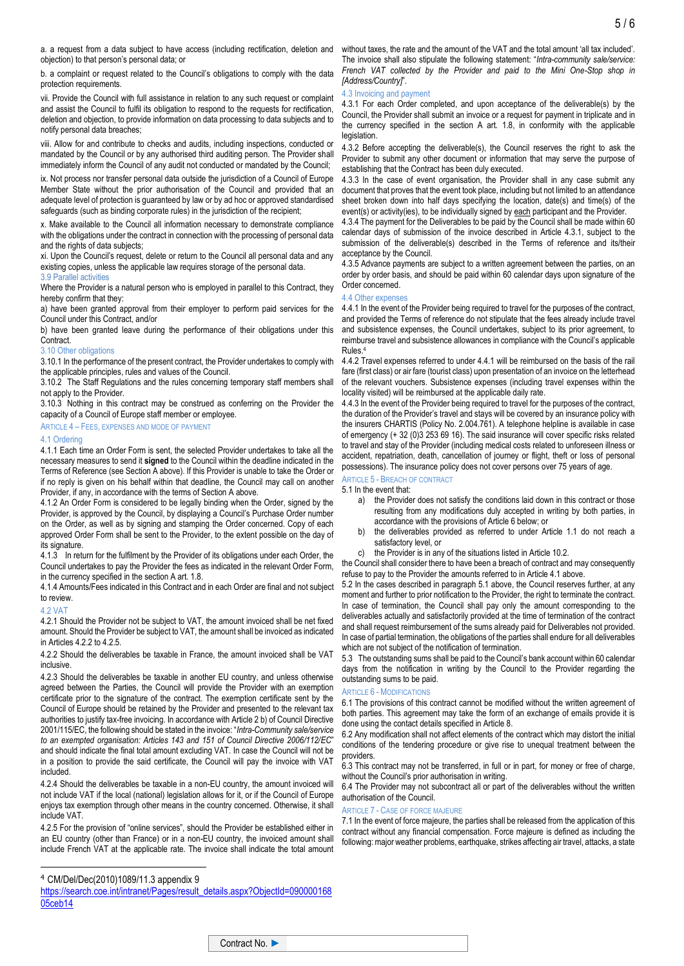a. a request from a data subject to have access (including rectification, deletion and objection) to that person's personal data; or

b. a complaint or request related to the Council's obligations to comply with the data protection requirements.

vii. Provide the Council with full assistance in relation to any such request or complaint and assist the Council to fulfil its obligation to respond to the requests for rectification, deletion and objection, to provide information on data processing to data subjects and to notify personal data breaches;

viii. Allow for and contribute to checks and audits, including inspections, conducted or mandated by the Council or by any authorised third auditing person. The Provider shall immediately inform the Council of any audit not conducted or mandated by the Council;

ix. Not process nor transfer personal data outside the jurisdiction of a Council of Europe Member State without the prior authorisation of the Council and provided that an adequate level of protection is guaranteed by law or by ad hoc or approved standardised safeguards (such as binding corporate rules) in the jurisdiction of the recipient;

x. Make available to the Council all information necessary to demonstrate compliance with the obligations under the contract in connection with the processing of personal data and the rights of data subjects:

xi. Upon the Council's request, delete or return to the Council all personal data and any existing copies, unless the applicable law requires storage of the personal data.

## 3.9 Parallel activities

Where the Provider is a natural person who is employed in parallel to this Contract, they hereby confirm that they:

a) have been granted approval from their employer to perform paid services for the Council under this Contract, and/or

b) have been granted leave during the performance of their obligations under this **Contract.** 

#### 3.10 Other obligations

3.10.1 In the performance of the present contract, the Provider undertakes to comply with the applicable principles, rules and values of the Council.

3.10.2 The Staff Regulations and the rules concerning temporary staff members shall not apply to the Provider.

3.10.3 Nothing in this contract may be construed as conferring on the Provider the capacity of a Council of Europe staff member or employee.

#### ARTICLE 4 – FEES, EXPENSES AND MODE OF PAYMENT

#### 4.1 Ordering

4.1.1 Each time an Order Form is sent, the selected Provider undertakes to take all the necessary measures to send it **signed** to the Council within the deadline indicated in the Terms of Reference (see Section A above). If this Provider is unable to take the Order or if no reply is given on his behalf within that deadline, the Council may call on another Provider, if any, in accordance with the terms of Section A above.

4.1.2 An Order Form is considered to be legally binding when the Order, signed by the Provider, is approved by the Council, by displaying a Council's Purchase Order number on the Order, as well as by signing and stamping the Order concerned. Copy of each approved Order Form shall be sent to the Provider, to the extent possible on the day of its signature.

4.1.3 In return for the fulfilment by the Provider of its obligations under each Order, the Council undertakes to pay the Provider the fees as indicated in the relevant Order Form, in the currency specified in the section A art. 1.8.

4.1.4 Amounts/Fees indicated in this Contract and in each Order are final and not subject to review.

#### 4.2 VAT

4.2.1 Should the Provider not be subject to VAT, the amount invoiced shall be net fixed amount. Should the Provider be subject to VAT, the amount shall be invoiced as indicated in Articles  $4.2.2$  to  $4.2.5$ 

4.2.2 Should the deliverables be taxable in France, the amount invoiced shall be VAT inclusive.

4.2.3 Should the deliverables be taxable in another EU country, and unless otherwise agreed between the Parties, the Council will provide the Provider with an exemption certificate prior to the signature of the contract. The exemption certificate sent by the Council of Europe should be retained by the Provider and presented to the relevant tax authorities to justify tax-free invoicing. In accordance with Article 2 b) of Council Directive 2001/115/EC, the following should be stated in the invoice: "*Intra-Community sale/service to an exempted organisation: Articles 143 and 151 of Council Directive 2006/112/EC*" and should indicate the final total amount excluding VAT. In case the Council will not be in a position to provide the said certificate, the Council will pay the invoice with VAT included.

4.2.4 Should the deliverables be taxable in a non-EU country, the amount invoiced will not include VAT if the local (national) legislation allows for it, or if the Council of Europe enjoys tax exemption through other means in the country concerned. Otherwise, it shall include VAT.

4.2.5 For the provision of "online services", should the Provider be established either in an EU country (other than France) or in a non-EU country, the invoiced amount shall include French VAT at the applicable rate. The invoice shall indicate the total amount

without taxes, the rate and the amount of the VAT and the total amount 'all tax included'. The invoice shall also stipulate the following statement: "*Intra-community sale/service: French VAT collected by the Provider and paid to the Mini One-Stop shop in [Address/Country]*".

# 4.3 Invoicing and payment

4.3.1 For each Order completed, and upon acceptance of the deliverable(s) by the Council, the Provider shall submit an invoice or a request for payment in triplicate and in the currency specified in the section A art. 1.8, in conformity with the applicable legislation.

4.3.2 Before accepting the deliverable(s), the Council reserves the right to ask the Provider to submit any other document or information that may serve the purpose of establishing that the Contract has been duly executed.

4.3.3 In the case of event organisation, the Provider shall in any case submit any document that proves that the event took place, including but not limited to an attendance sheet broken down into half days specifying the location, date(s) and time(s) of the event(s) or activity(ies), to be individually signed by each participant and the Provider.

4.3.4 The payment for the Deliverables to be paid by the Council shall be made within 60 calendar days of submission of the invoice described in Article 4.3.1, subject to the submission of the deliverable(s) described in the Terms of reference and its/their acceptance by the Council.

4.3.5 Advance payments are subject to a written agreement between the parties, on an order by order basis, and should be paid within 60 calendar days upon signature of the Order concerned.

#### 4.4 Other expenses

4.4.1 In the event of the Provider being required to travel for the purposes of the contract, and provided the Terms of reference do not stipulate that the fees already include travel and subsistence expenses, the Council undertakes, subject to its prior agreement, to reimburse travel and subsistence allowances in compliance with the Council's applicable Rules.<sup>4</sup>

4.4.2 Travel expenses referred to under 4.4.1 will be reimbursed on the basis of the rail fare (first class) or air fare (tourist class) upon presentation of an invoice on the letterhead of the relevant vouchers. Subsistence expenses (including travel expenses within the locality visited) will be reimbursed at the applicable daily rate.

4.4.3 In the event of the Provider being required to travel for the purposes of the contract, the duration of the Provider's travel and stays will be covered by an insurance policy with the insurers CHARTIS (Policy No. 2.004.761). A telephone helpline is available in case of emergency (+ 32 (0)3 253 69 16). The said insurance will cover specific risks related to travel and stay of the Provider (including medical costs related to unforeseen illness or accident, repatriation, death, cancellation of journey or flight, theft or loss of personal possessions). The insurance policy does not cover persons over 75 years of age.

# ARTICLE 5 - BREACH OF CONTRACT

5.1 In the event that:

- a) the Provider does not satisfy the conditions laid down in this contract or those resulting from any modifications duly accepted in writing by both parties, in accordance with the provisions of Article 6 below; or
- b) the deliverables provided as referred to under Article 1.1 do not reach a satisfactory level, or
- c) the Provider is in any of the situations listed in Article 10.2.

the Council shall consider there to have been a breach of contract and may consequently refuse to pay to the Provider the amounts referred to in Article 4.1 above.

5.2 In the cases described in paragraph 5.1 above, the Council reserves further, at any moment and further to prior notification to the Provider, the right to terminate the contract. In case of termination, the Council shall pay only the amount corresponding to the deliverables actually and satisfactorily provided at the time of termination of the contract and shall request reimbursement of the sums already paid for Deliverables not provided. In case of partial termination, the obligations of the parties shall endure for all deliverables which are not subject of the notification of termination.

5.3 The outstanding sums shall be paid to the Council's bank account within 60 calendar days from the notification in writing by the Council to the Provider regarding the outstanding sums to be paid.

#### ARTICLE 6 - MODIFICATIONS

6.1 The provisions of this contract cannot be modified without the written agreement of both parties. This agreement may take the form of an exchange of emails provide it is done using the contact details specified in Article 8.

6.2 Any modification shall not affect elements of the contract which may distort the initial conditions of the tendering procedure or give rise to unequal treatment between the providers.

6.3 This contract may not be transferred, in full or in part, for money or free of charge, without the Council's prior authorisation in writing.

6.4 The Provider may not subcontract all or part of the deliverables without the written authorisation of the Council.

#### ARTICLE 7 - CASE OF FORCE MAJEURE

7.1 In the event of force majeure, the parties shall be released from the application of this contract without any financial compensation. Force majeure is defined as including the following: major weather problems, earthquake, strikes affecting air travel, attacks, a state

<sup>4</sup> CM/Del/Dec(2010)1089/11.3 appendix 9

[https://search.coe.int/intranet/Pages/result\\_details.aspx?ObjectId=090000168](https://search.coe.int/intranet/Pages/result_details.aspx?ObjectId=09000016805ceb14) [05ceb14](https://search.coe.int/intranet/Pages/result_details.aspx?ObjectId=09000016805ceb14)